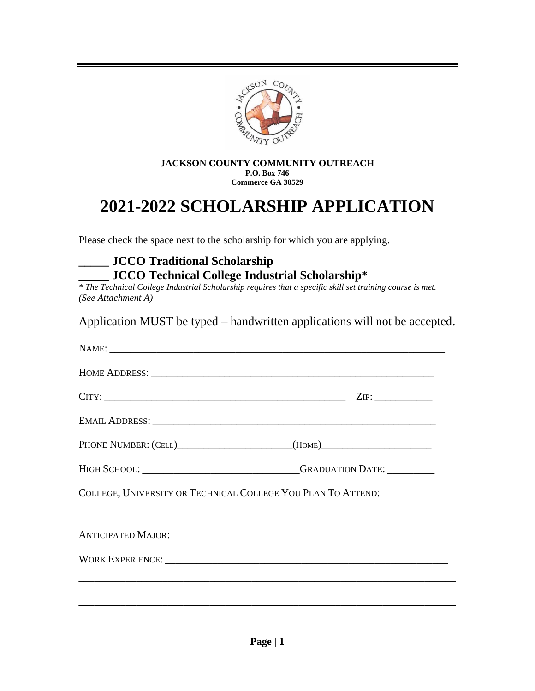

#### **JACKSON COUNTY COMMUNITY OUTREACH P.O. Box 746 Commerce GA 30529**

## **2021-2022 SCHOLARSHIP APPLICATION**

Please check the space next to the scholarship for which you are applying.

### **\_\_\_\_\_ JCCO Traditional Scholarship \_\_\_\_\_ JCCO Technical College Industrial Scholarship\***

*\* The Technical College Industrial Scholarship requires that a specific skill set training course is met. (See Attachment A)*

Application MUST be typed – handwritten applications will not be accepted.

|                                                              | $CITY:$ 2IP:                                                                      |
|--------------------------------------------------------------|-----------------------------------------------------------------------------------|
|                                                              |                                                                                   |
|                                                              | PHONE NUMBER: (CELL)_______________________(HOME)_______________________________  |
|                                                              | HIGH SCHOOL: _______________________________GRADUATION DATE: ___________          |
| COLLEGE, UNIVERSITY OR TECHNICAL COLLEGE YOU PLAN TO ATTEND: |                                                                                   |
|                                                              |                                                                                   |
|                                                              |                                                                                   |
|                                                              | ,我们也不能在这里的时候,我们也不能在这里的时候,我们也不能会在这里的时候,我们也不能会在这里的时候,我们也不能会在这里的时候,我们也不能会在这里的时候,我们也不 |
|                                                              |                                                                                   |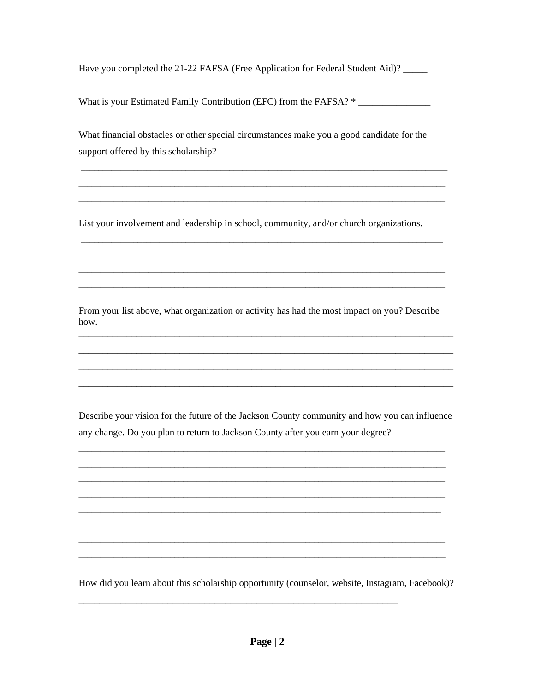Have you completed the 21-22 FAFSA (Free Application for Federal Student Aid)?

What is your Estimated Family Contribution (EFC) from the FAFSA? \*

What financial obstacles or other special circumstances make you a good candidate for the support offered by this scholarship?

List your involvement and leadership in school, community, and/or church organizations.

From your list above, what organization or activity has had the most impact on you? Describe how.

Describe your vision for the future of the Jackson County community and how you can influence any change. Do you plan to return to Jackson County after you earn your degree?

How did you learn about this scholarship opportunity (counselor, website, Instagram, Facebook)?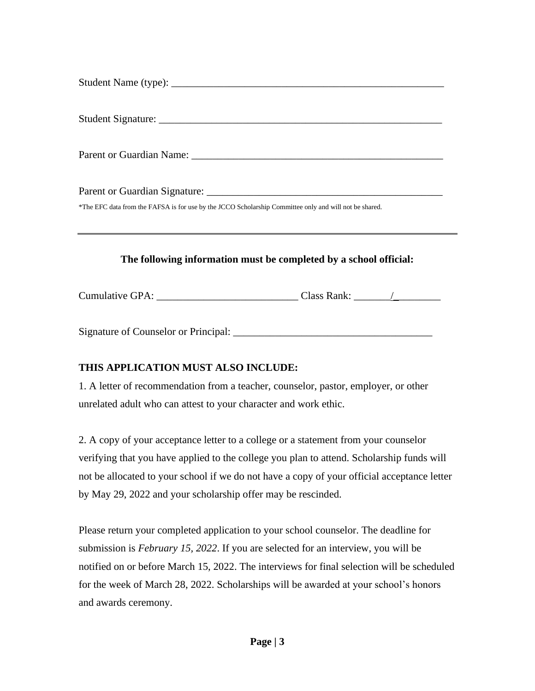| *The EFC data from the FAFSA is for use by the JCCO Scholarship Committee only and will not be shared. |
|--------------------------------------------------------------------------------------------------------|
|                                                                                                        |
|                                                                                                        |
|                                                                                                        |
|                                                                                                        |

#### **The following information must be completed by a school official:**

Cumulative GPA: \_\_\_\_\_\_\_\_\_\_\_\_\_\_\_\_\_\_\_\_\_\_\_\_\_\_\_ Class Rank: \_\_\_\_\_\_\_/\_\_\_\_\_\_\_\_\_

Signature of Counselor or Principal: \_\_\_\_\_\_\_\_\_\_\_\_\_\_\_\_\_\_\_\_\_\_\_\_\_\_\_\_\_\_\_\_\_\_\_\_\_\_

#### **THIS APPLICATION MUST ALSO INCLUDE:**

1. A letter of recommendation from a teacher, counselor, pastor, employer, or other unrelated adult who can attest to your character and work ethic.

2. A copy of your acceptance letter to a college or a statement from your counselor verifying that you have applied to the college you plan to attend. Scholarship funds will not be allocated to your school if we do not have a copy of your official acceptance letter by May 29, 2022 and your scholarship offer may be rescinded.

Please return your completed application to your school counselor. The deadline for submission is *February 15, 2022*. If you are selected for an interview, you will be notified on or before March 15, 2022. The interviews for final selection will be scheduled for the week of March 28, 2022. Scholarships will be awarded at your school's honors and awards ceremony.